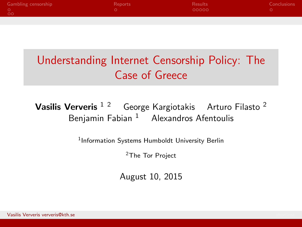| <b>Gambling censorship</b> | Reports | Results | Conclusions |
|----------------------------|---------|---------|-------------|
| - 00                       |         | 00000   |             |
|                            |         |         |             |

# Understanding Internet Censorship Policy: The Case of Greece

#### Vasilis Ververis<sup>12</sup> George Kargiotakis Arturo Filasto<sup>2</sup> Benjamin Fabian  $1$  Alexandros Afentoulis

1Information Systems Humboldt University Berlin

2The Tor Project

August 10, 2015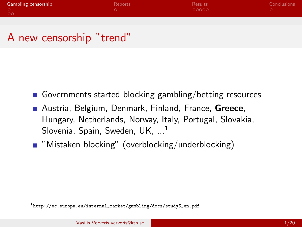| <b>Gambling censorship</b> | Reports | Results | Conclusions |
|----------------------------|---------|---------|-------------|
| $\circ$                    |         | 00000   |             |
|                            |         |         |             |

#### A new censorship "trend"

- Governments started blocking gambling/betting resources
- **Austria, Belgium, Denmark, Finland, France, Greece,** Hungary, Netherlands, Norway, Italy, Portugal, Slovakia, Slovenia, Spain, Sweden, UK. ...<sup>1</sup>
- "Mistaken blocking" (overblocking/underblocking)

 $1$ http://ec.europa.eu/internal\_market/gambling/docs/study5\_en.pdf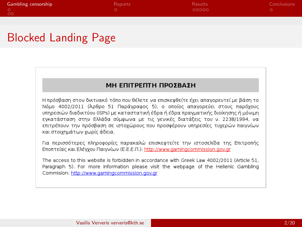| <b>Gambling censorship</b> | Reports | <b>Results</b> | Conclusions |
|----------------------------|---------|----------------|-------------|
| - 00                       |         | 00000          |             |
|                            |         |                |             |

## Blocked Landing Page

#### **ΜΗ ΕΠΙΤΡΕΠΤΗ ΠΡΟΣΒΑΣΗ**

Η πρόσβαση στον δικτυακό τόπο που θέλετε να επισκεφθείτε έχει απαγορευτεί με βάση το Νόμο 4002/2011 (Άρθρο 51 Παράγραφος 5), ο οποίος απαγορεύει στους παρόγους υπηρεσιών διαδικτύου (ISPs) με καταστατική έδρα ή έδρα πρανματικής διοίκησης ή μόνιμη εγκατάσταση στην Ελλάδα σύμφωνα με τις γενικές διατάξεις του ν. 2238/1994, να επιτρέπουν την πρόσβαση σε ιστοχώρους που προσφέρουν υπηρεσίες τυχερών παιγνίων και στοιχημάτων χωρίς άδεια.

Για περισσότερες πληροφορίες παρακαλώ επισκεφτείτε την ιστοσελίδα της Επιτροπής Εποπτείας και Ελέγχου Παιγνίων (Ε.Ε.Ε.Π.): http://www.gamingcommission.gov.gr

The access to this website is forbidden in accordance with Greek Law 4002/2011 (Article 51. Paragraph 5). For more information please visit the webpage of the Hellenic Gambling Commision: http://www.gamingcommission.gov.gr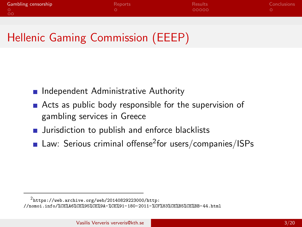| <b>Gambling censorship</b> | Reports | <b>Results</b> | Conclusions |
|----------------------------|---------|----------------|-------------|
| $\circ$ 00                 |         | 00000          |             |
|                            |         |                |             |

## Hellenic Gaming Commission (EEEP)

- **n** Independent Administrative Authority
- Acts as public body responsible for the supervision of gambling services in Greece
- **Jurisdiction to publish and enforce blacklists**
- **Law:** Serious criminal offense<sup>2</sup> for users/companies/ISPs

 $2$ https://web.archive.org/web/20140829223000/http:

<sup>//</sup>nomoi.info/%CE%A6%CE%95%CE%9A-%CE%91-180-2011-%CF%83%CE%B5%CE%BB-44.html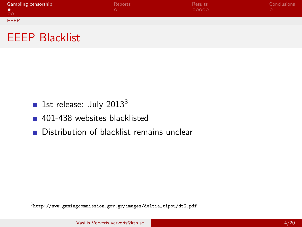| Gambling censorship       | Reports | <b>Results</b><br>00000 | Conclusions |
|---------------------------|---------|-------------------------|-------------|
| <b>LOO</b><br><b>EEEP</b> |         |                         |             |



- **1st release: July 2013**<sup>3</sup>
- 401-438 websites blacklisted
- Distribution of blacklist remains unclear

<sup>3</sup>http://www.gamingcommission.gov.gr/images/deltia\_tipou/dt2.pdf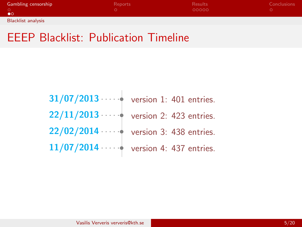| <b>Gambling censorship</b> | Reports | <b>Results</b> | <b>Conclusions</b> |
|----------------------------|---------|----------------|--------------------|
|                            |         | 00000          |                    |
| $\bullet$ o                |         |                |                    |
| <b>Blacklist analysis</b>  |         |                |                    |

## EEEP Blacklist: Publication Timeline

| $31/07/2013 \cdots$ version 1: 401 entries.    |                         |
|------------------------------------------------|-------------------------|
| $22/11/2013 \cdots$ version 2: 423 entries.    |                         |
| 22/02/2014 · · · · · · version 3: 438 entries. |                         |
| 11/07/2014                                     | version 4: 437 entries. |

×.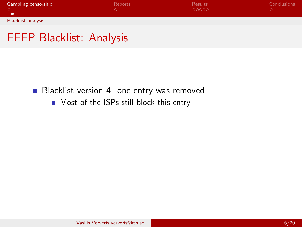| <b>Gambling censorship</b> | Reports | <b>Results</b> | Conclusions |
|----------------------------|---------|----------------|-------------|
| 00                         |         | 00000          |             |
| <b>Blacklist analysis</b>  |         |                |             |

#### EEEP Blacklist: Analysis

**Blacklist version 4: one entry was removed** 

**Most of the ISPs still block this entry**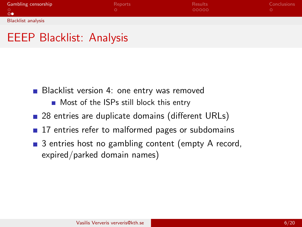| <b>Gambling censorship</b> | Reports | <b>Results</b> | <b>Conclusions</b> |
|----------------------------|---------|----------------|--------------------|
| $\circ$                    |         | 00000          |                    |
| <b>Blacklist analysis</b>  |         |                |                    |

#### EEEP Blacklist: Analysis

- **Blacklist version 4: one entry was removed** 
	- **Most of the ISPs still block this entry**
- 28 entries are duplicate domains (different URLs)
- 17 entries refer to malformed pages or subdomains
- 3 entries host no gambling content (empty A record, expired/parked domain names)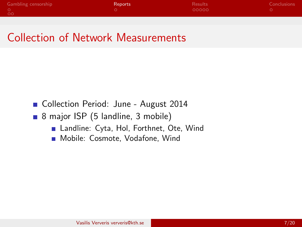| <b>Gambling censorship</b> | Reports | <b>Results</b> | Conclusions |
|----------------------------|---------|----------------|-------------|
| $\circ$ 00                 |         | 00000          |             |

#### Collection of Network Measurements

- Collection Period: June August 2014
- 8 major ISP (5 landline, 3 mobile)
	- Landline: Cyta, Hol, Forthnet, Ote, Wind
	- **Mobile: Cosmote, Vodafone, Wind**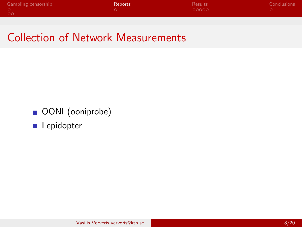| Gambling censorship | <b>Reports</b> | <b>Results</b> | Conclusions |
|---------------------|----------------|----------------|-------------|
| - 00                |                | 00000          |             |

## Collection of Network Measurements

- OONI (ooniprobe)
- **Lepidopter**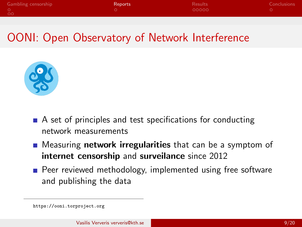| <b>Gambling censorship</b> | <b>Reports</b> | <b>Results</b> | Conclusions |
|----------------------------|----------------|----------------|-------------|
| - 00                       |                | 00000          |             |
|                            |                |                |             |

## OONI: Open Observatory of Network Interference



- A set of principles and test specifications for conducting network measurements
- **E** Measuring **network irregularities** that can be a symptom of internet censorship and surveilance since 2012
- **Peer reviewed methodology, implemented using free software** and publishing the data

https://ooni.torproject.org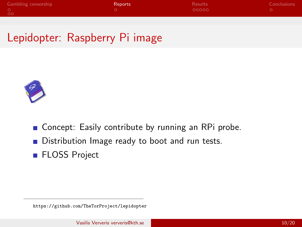| <b>Gambling censorship</b><br>Reports | <b>Results</b> | Conclusions |
|---------------------------------------|----------------|-------------|
| ം വ                                   | - റററററ        |             |

## Lepidopter: Raspberry Pi image



- Concept: Easily contribute by running an RPi probe.
- Distribution Image ready to boot and run tests.
- **FLOSS Project**

https://github.com/TheTorProject/lepidopter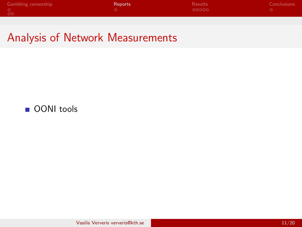| <b>Gambling censorship</b> | <b>Reports</b> | <b>Results</b> | Conclusions |
|----------------------------|----------------|----------------|-------------|
|                            |                | - 00000        |             |
| - 00                       |                |                |             |

#### Analysis of Network Measurements

#### OONI tools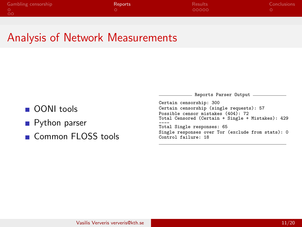| <b>Gambling censorship</b> | <b>Reports</b> | <b>Results</b> | Conclusions |
|----------------------------|----------------|----------------|-------------|
| - 00                       |                | - റററററ        |             |

#### Analysis of Network Measurements

- OONI tools
- **Python parser**
- Common FLOSS tools

- Reports Parser Output. Certain censorship: 300 Certain censorship (single requests): 57 Possible censor mistakes (404): 72 Total Censored (Certain + Single + Mistakes): 429 ---- Total Single responses: 65 Single responses over Tor (exclude from stats): 0 Control failure: 18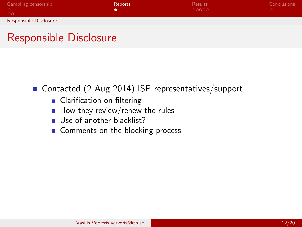| Gambling censorship    | <b>Reports</b> | <b>Results</b> | Conclusions |
|------------------------|----------------|----------------|-------------|
| ಂ                      |                | 00000          |             |
| Responsible Disclosure |                |                |             |

### Responsible Disclosure

■ Contacted (2 Aug 2014) ISP representatives/support

- **Clarification on filtering**
- $\blacksquare$  How they review/renew the rules
- Use of another blacklist?
- Comments on the blocking process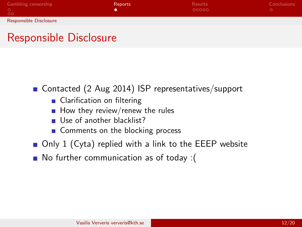| Gambling censorship    | <b>Reports</b> | <b>Results</b> | <b>Conclusions</b> |
|------------------------|----------------|----------------|--------------------|
|                        |                | 00000          |                    |
| ಂ                      |                |                |                    |
| Responsible Disclosure |                |                |                    |

## Responsible Disclosure

#### ■ Contacted (2 Aug 2014) ISP representatives/support

- Clarification on filtering
- $\blacksquare$  How they review/renew the rules
- Use of another blacklist?
- Comments on the blocking process
- $\blacksquare$  Only 1 (Cyta) replied with a link to the EEEP website
- No further communication as of today :(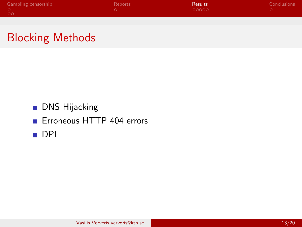| <b>Gambling censorship</b> | Reports | <b>Results</b> | Conclusions |
|----------------------------|---------|----------------|-------------|
|                            |         | 00000          |             |
| <b>CO</b>                  |         |                |             |
|                            |         |                |             |

## Blocking Methods

#### **DNS Hijacking**

**E** Erroneous HTTP 404 errors

■ DPI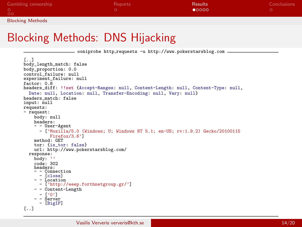| <b>Gambling censorship</b> | <b>Reports</b> | <b>Results</b> | <b>Conclusions</b> |
|----------------------------|----------------|----------------|--------------------|
| ಂ                          |                | 00000          |                    |
| <b>Blocking Methods</b>    |                |                |                    |

### Blocking Methods: DNS Hijacking

ooniprobe http requests -u http://www.pokerstarsblog.com

```
[..]
body length match: false
body_proportion: 0.0
control_failure: null
experiment failure: null
factor: 0.8
headers diff: !!set {Accept-Ranges: null, Content-Length: null, Content-Type: null,
  Date: null, Location: null, Transfer-Encoding: null, Vary: null}
headers_match: false
input: null
requests:
- request:
     body: null
    headers:
    - - User-Agent
       - ['Mozilla/5.0 (Windows; U; Windows NT 5.1; en-US; rv:1.9.2) Gecko/20100115
     Firefox/3.6'] method: GET
    tor: {is tor: false}
  url: http://www.pokerstarsblog.com/<br>response:<br>body: ''
    code: 302
     headers:<br>- - Connection
     - Connection<br>- - Location<br>- ['http://eeep.forthnetgroup.gr/']
    - - Content-Length<br>- \lceil 20 \rceil- - Server<br>- [BigIP]
[..]
```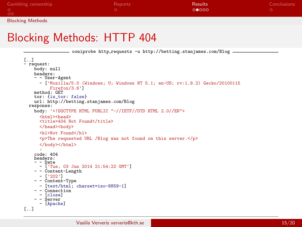| <b>Gambling censorship</b> | Reports | <b>Results</b> | Conclusions |
|----------------------------|---------|----------------|-------------|
| -oo                        |         | 00000          |             |
| <b>Blocking Methods</b>    |         |                |             |

#### Blocking Methods: HTTP 404

```
ooniprobe http_requests -u http://betting.stanjames.com/Blog
[..]
- request:
    body: null
    headers:
    - - User-Agent
      - ['Mozilla/5.0 (Windows; U; Windows NT 5.1; en-US; rv:1.9.2) Gecko/20100115
    method: GET
    tor: {is tor: false}
  url: http://betting.stanjames.com/Blog response:
    body: '<!DOCTYPE HTML PUBLIC "-//IETF//DTD HTML 2.0//EN">
      <html><head>
      <title>404 Not Found</title>
      </head><br/>body>
      <h1>Not Found</h1>
      <p>The requested URL /Blog was not found on this server.</p>
      </body></html>
    code: 404headers:<br>- - Date
      - ['Tue, 03 Jun 2014 21:54:22 GMT']
    - - Content-Length
      - ['202']
    - - Content-Type
    - [text/html; charset=iso-8859-1]<br>- - Connection<br>- [close]<br>- Server<br>- Server
[..]
```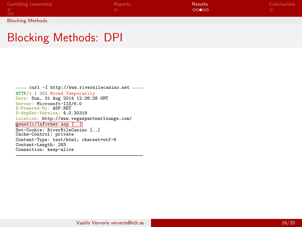| <b>Gambling censorship</b> | Reports | <b>Results</b> | <b>Conclusions</b> |
|----------------------------|---------|----------------|--------------------|
|                            |         | 00000          |                    |
| $\circ$                    |         |                |                    |
| <b>Blocking Methods</b>    |         |                |                    |

#### Blocking Methods: DPI

```
curl -I http://www.rivernilecasino.net
HTTP/1.1 302 Moved Temporarily Date: Sun, 31 Aug 2014 12:38:28 GMT
Server: Microsoft-IIS/6.0<br>X-Powered-By: ASP.NET
X-AspNet-Version: 4.0.30319
Location: http://www.vegaspartnerlounge.com/
generic/informer.asp [..]
Set-Cookie: RiverNileCasino [..]
Cache-Control: private
Content-Type: text/html; charset=utf-8
Content-Length: 283
Connection: keep-alive
```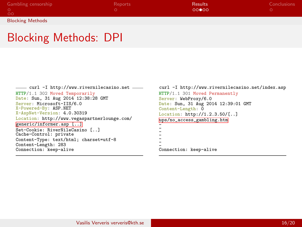| <b>Gambling censorship</b> | Reports | <b>Results</b> | <b>Conclusions</b> |
|----------------------------|---------|----------------|--------------------|
|                            |         | 00000          |                    |
| <b>LOO</b>                 |         |                |                    |
| <b>Blocking Methods</b>    |         |                |                    |

#### Blocking Methods: DPI

```
curl -I http://www.rivernilecasino.net
HTTP/1.1 302 Moved Temporarily Date: Sun, 31 Aug 2014 12:38:28 GMT
Server: Microsoft-IIS/6.0<br>X-Powered-By: ASP.NET
X-AspNet-Version: 4.0.30319
Location: http://www.vegaspartnerlounge.com/
generic/informer.asp [..]
Set-Cookie: RiverNileCasino [..]
Cache-Control: private
Content-Type: text/html; charset=utf-8
Content-Length: 283
Connection: keep-alive
```
curl -I http://www.rivernilecasino.net/index.asp HTTP/1.1 301 Moved Permanently Server: WebProxy/6.0 Date: Sun, 31 Aug 2014 12:39:01 GMT Content-Length: 0 Location: http://1.2.3.50/[..] ups/no\_access\_gambling.htm - - - - - - - Connection: keep-alive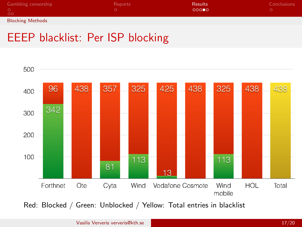| <b>Gambling censorship</b> | Reports | <b>Results</b> | Conclusions |
|----------------------------|---------|----------------|-------------|
| $\circ$                    |         | 00000          |             |
| <b>Blocking Methods</b>    |         |                |             |

## EEEP blacklist: Per ISP blocking



Red: Blocked / Green: Unblocked / Yellow: Total entries in blacklist

Vasilis Ververis ververis@kth.se 17/20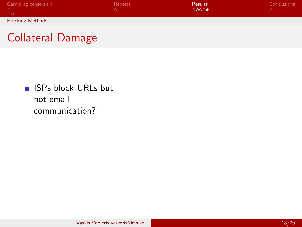| <b>Gambling censorship</b><br>-00 | <b>Reports</b> | <b>Results</b><br>0000 | <b>Conclusions</b> |
|-----------------------------------|----------------|------------------------|--------------------|
| <b>Blocking Methods</b>           |                |                        |                    |

Collateral Damage

**ISPs block URLs but** not email communication?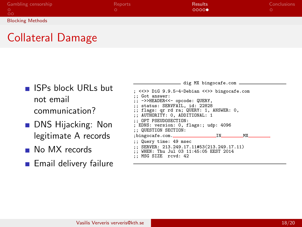| <b>Gambling censorship</b><br><b>OO</b> | Reports | <b>Results</b><br>00000 | Conclusions |
|-----------------------------------------|---------|-------------------------|-------------|
| <b>Blocking Methods</b>                 |         |                         |             |

## Collateral Damage

- **ISPs block URLs but** not email communication?
- **DNS Hijacking: Non** legitimate A records
- No MX records
- **Email delivery failure**

| ___ dig MX bingocafe.com _____               |
|----------------------------------------------|
|                                              |
| ; <<>> DiG 9.9.5-4-Debian <<>> bingocafe.com |
| :: Got answer:                               |
| ;; ->>HEADER<<- opcode: QUERY,               |
| :: status: SERVFAIL, id: 22828               |
| ;; flags: qr rd ra; QUERY: 1, ANSWER: 0,     |
| ;; AUTHORITY: 0, ADDITIONAL: 1               |
| :: OPT PSEUDOSECTION:                        |
|                                              |
| ; EDNS: version: 0, flags:; udp: 4096        |
| :; QUESTION SECTION:                         |
| <b>MX</b>                                    |
| ;; Query time: 49 msec                       |
| ;; SERVER: 213.249.17.11#53(213.249.17.11)   |
|                                              |
| ;; WHEN: Thu Jul 03 11:45:05 EEST 2014       |
| :; MSG SIZE rcvd: 42                         |
|                                              |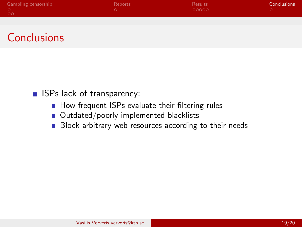| <b>Gambling censorship</b> | Reports | <b>Results</b> | Conclusions <sup>1</sup> |
|----------------------------|---------|----------------|--------------------------|
| $\circ$ 00                 |         | $-00000$       |                          |
|                            |         |                |                          |

## **Conclusions**

**ISPs lack of transparency:** 

- How frequent ISPs evaluate their filtering rules
- Outdated/poorly implemented blacklists  $\mathcal{L}_{\mathcal{A}}$
- Block arbitrary web resources according to their needs  $\overline{\phantom{a}}$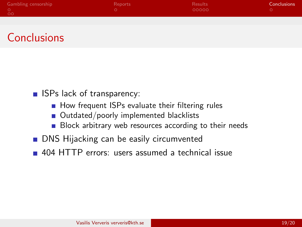| <b>Gambling censorship</b> | Reports | <b>Results</b> | Conclusions |
|----------------------------|---------|----------------|-------------|
|                            |         | LOQQQQ         |             |
| - 00                       |         |                |             |

## **Conclusions**

- $\blacksquare$  ISPs lack of transparency:
	- **How frequent ISPs evaluate their filtering rules**
	- Outdated/poorly implemented blacklists  $\mathcal{L}_{\mathcal{A}}$
	- Block arbitrary web resources according to their needs  $\mathcal{L}_{\mathcal{A}}$
- **DNS** Hijacking can be easily circumvented
- **404 HTTP errors: users assumed a technical issue**